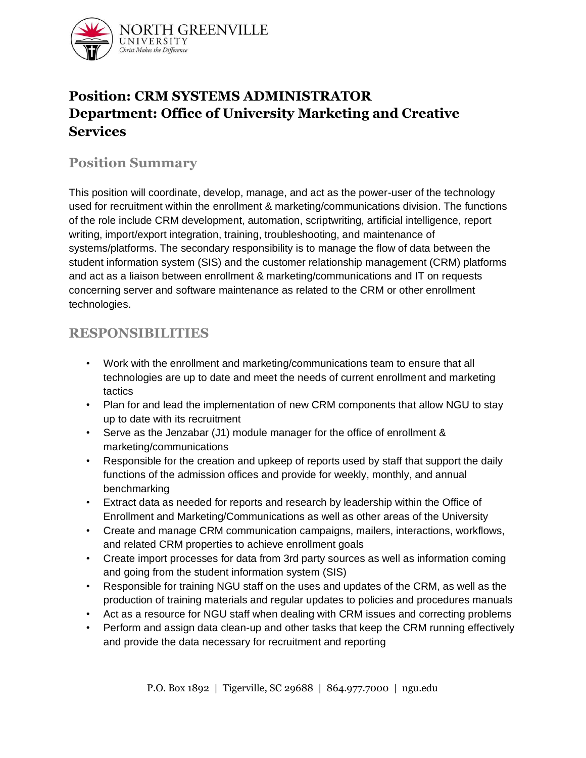

# **Position: CRM SYSTEMS ADMINISTRATOR Department: Office of University Marketing and Creative Services**

### **Position Summary**

This position will coordinate, develop, manage, and act as the power-user of the technology used for recruitment within the enrollment & marketing/communications division. The functions of the role include CRM development, automation, scriptwriting, artificial intelligence, report writing, import/export integration, training, troubleshooting, and maintenance of systems/platforms. The secondary responsibility is to manage the flow of data between the student information system (SIS) and the customer relationship management (CRM) platforms and act as a liaison between enrollment & marketing/communications and IT on requests concerning server and software maintenance as related to the CRM or other enrollment technologies.

### **RESPONSIBILITIES**

- Work with the enrollment and marketing/communications team to ensure that all technologies are up to date and meet the needs of current enrollment and marketing tactics
- Plan for and lead the implementation of new CRM components that allow NGU to stay up to date with its recruitment
- Serve as the Jenzabar (J1) module manager for the office of enrollment & marketing/communications
- Responsible for the creation and upkeep of reports used by staff that support the daily functions of the admission offices and provide for weekly, monthly, and annual benchmarking
- Extract data as needed for reports and research by leadership within the Office of Enrollment and Marketing/Communications as well as other areas of the University
- Create and manage CRM communication campaigns, mailers, interactions, workflows, and related CRM properties to achieve enrollment goals
- Create import processes for data from 3rd party sources as well as information coming and going from the student information system (SIS)
- Responsible for training NGU staff on the uses and updates of the CRM, as well as the production of training materials and regular updates to policies and procedures manuals
- Act as a resource for NGU staff when dealing with CRM issues and correcting problems
- Perform and assign data clean-up and other tasks that keep the CRM running effectively and provide the data necessary for recruitment and reporting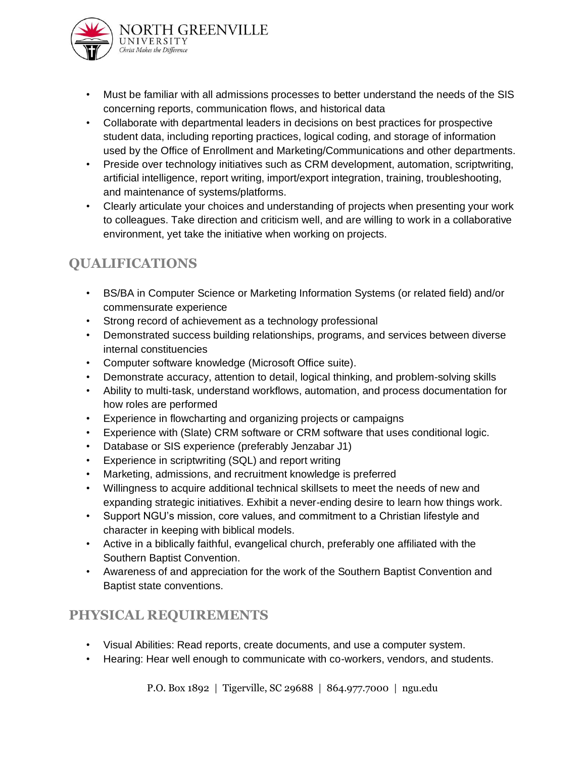

- Must be familiar with all admissions processes to better understand the needs of the SIS concerning reports, communication flows, and historical data
- Collaborate with departmental leaders in decisions on best practices for prospective student data, including reporting practices, logical coding, and storage of information used by the Office of Enrollment and Marketing/Communications and other departments.
- Preside over technology initiatives such as CRM development, automation, scriptwriting, artificial intelligence, report writing, import/export integration, training, troubleshooting, and maintenance of systems/platforms.
- Clearly articulate your choices and understanding of projects when presenting your work to colleagues. Take direction and criticism well, and are willing to work in a collaborative environment, yet take the initiative when working on projects.

# **QUALIFICATIONS**

- BS/BA in Computer Science or Marketing Information Systems (or related field) and/or commensurate experience
- Strong record of achievement as a technology professional
- Demonstrated success building relationships, programs, and services between diverse internal constituencies
- Computer software knowledge (Microsoft Office suite).
- Demonstrate accuracy, attention to detail, logical thinking, and problem-solving skills
- Ability to multi-task, understand workflows, automation, and process documentation for how roles are performed
- Experience in flowcharting and organizing projects or campaigns
- Experience with (Slate) CRM software or CRM software that uses conditional logic.
- Database or SIS experience (preferably Jenzabar J1)
- Experience in scriptwriting (SQL) and report writing
- Marketing, admissions, and recruitment knowledge is preferred
- Willingness to acquire additional technical skillsets to meet the needs of new and expanding strategic initiatives. Exhibit a never-ending desire to learn how things work.
- Support NGU's mission, core values, and commitment to a Christian lifestyle and character in keeping with biblical models.
- Active in a biblically faithful, evangelical church, preferably one affiliated with the Southern Baptist Convention.
- Awareness of and appreciation for the work of the Southern Baptist Convention and Baptist state conventions.

# **PHYSICAL REQUIREMENTS**

- Visual Abilities: Read reports, create documents, and use a computer system.
- Hearing: Hear well enough to communicate with co-workers, vendors, and students.